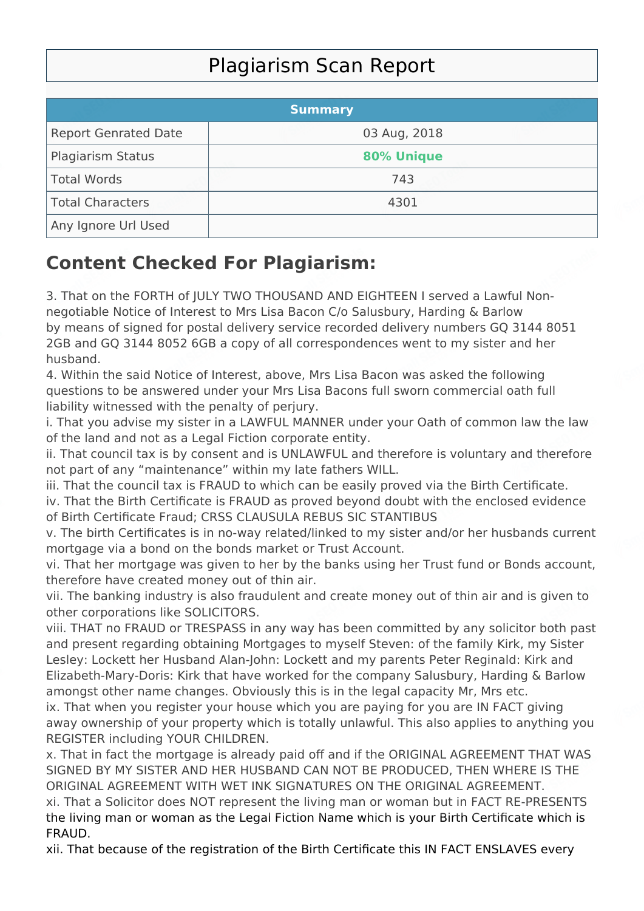## Plagiarism Scan Report

|                             | <b>Summary</b> |  |
|-----------------------------|----------------|--|
| <b>Report Genrated Date</b> | 03 Aug, 2018   |  |
| Plagiarism Status           | 80% Unique     |  |
| Total Words                 | 743            |  |
| Total Characters            | 4301           |  |
| Any Ignore Url Used         |                |  |

## **Content Checked For Plagiarism:**

3. That on the FORTH of JULY TWO THOUSAND AND EIGHTEEN I served a Lawful Nonnegotiable Notice of Interest to Mrs Lisa Bacon C/o Salusbury, Harding & Barlow by means of signed for postal delivery service recorded delivery numbers GQ 3144 8051 2GB and GQ 3144 8052 6GB a copy of all correspondences went to my sister and her husband.

4. Within the said Notice of Interest, above, Mrs Lisa Bacon was asked the following questions to be answered under your Mrs Lisa Bacons full sworn commercial oath full liability witnessed with the penalty of perjury.

i. That you advise my sister in a LAWFUL MANNER under your Oath of common law the law of the land and not as a Legal Fiction corporate entity.

ii. That council tax is by consent and is UNLAWFUL and therefore is voluntary and therefore not part of any "maintenance" within my late fathers WILL.

iii. That the council tax is FRAUD to which can be easily proved via the Birth Certificate.

iv. That the Birth Certificate is FRAUD as proved beyond doubt with the enclosed evidence of Birth Certificate Fraud; CRSS CLAUSULA REBUS SIC STANTIBUS

v. The birth Certificates is in no-way related/linked to my sister and/or her husbands current mortgage via a bond on the bonds market or Trust Account.

vi. That her mortgage was given to her by the banks using her Trust fund or Bonds account, therefore have created money out of thin air.

vii. The banking industry is also fraudulent and create money out of thin air and is given to other corporations like SOLICITORS.

viii. THAT no FRAUD or TRESPASS in any way has been committed by any solicitor both past and present regarding obtaining Mortgages to myself Steven: of the family Kirk, my Sister Lesley: Lockett her Husband Alan-John: Lockett and my parents Peter Reginald: Kirk and Elizabeth-Mary-Doris: Kirk that have worked for the company Salusbury, Harding & Barlow amongst other name changes. Obviously this is in the legal capacity Mr, Mrs etc.

ix. That when you register your house which you are paying for you are IN FACT giving away ownership of your property which is totally unlawful. This also applies to anything you REGISTER including YOUR CHILDREN.

x. That in fact the mortgage is already paid off and if the ORIGINAL AGREEMENT THAT WAS SIGNED BY MY SISTER AND HER HUSBAND CAN NOT BE PRODUCED, THEN WHERE IS THE ORIGINAL AGREEMENT WITH WET INK SIGNATURES ON THE ORIGINAL AGREEMENT.

xi. That a Solicitor does NOT represent the living man or woman but in FACT RE-PRESENTS the living man or woman as the Legal Fiction Name which is your Birth Certificate which is FRAUD.

xii. That because of the registration of the Birth Certificate this IN FACT ENSLAVES every